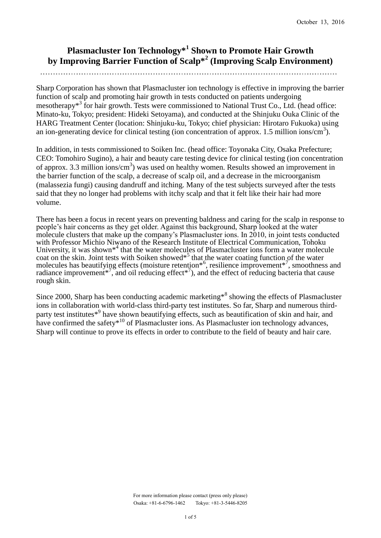# **Plasmacluster Ion Technology\*<sup>1</sup> Shown to Promote Hair Growth by Improving Barrier Function of Scalp\*<sup>2</sup> (Improving Scalp Environment)**

Sharp Corporation has shown that Plasmacluster ion technology is effective in improving the barrier function of scalp and promoting hair growth in tests conducted on patients undergoing mesotherapy<sup>\*3</sup> for hair growth. Tests were commissioned to National Trust Co., Ltd. (head office: Minato-ku, Tokyo; president: Hideki Setoyama), and conducted at the Shinjuku Ouka Clinic of the HARG Treatment Center (location: Shinjuku-ku, Tokyo; chief physician: Hirotaro Fukuoka) using an ion-generating device for clinical testing (ion concentration of approx. 1.5 million ions/cm<sup>3</sup>).

In addition, in tests commissioned to Soiken Inc. (head office: Toyonaka City, Osaka Prefecture; CEO: Tomohiro Sugino), a hair and beauty care testing device for clinical testing (ion concentration of approx. 3.3 million ions/ $cm<sup>3</sup>$ ) was used on healthy women. Results showed an improvement in the barrier function of the scalp, a decrease of scalp oil, and a decrease in the microorganism (malassezia fungi) causing dandruff and itching. Many of the test subjects surveyed after the tests said that they no longer had problems with itchy scalp and that it felt like their hair had more volume.

There has been a focus in recent years on preventing baldness and caring for the scalp in response to people's hair concerns as they get older. Against this background, Sharp looked at the water molecule clusters that make up the company's Plasmacluster ions. In 2010, in joint tests conducted with Professor Michio Niwano of the Research Institute of Electrical Communication, Tohoku University, it was shown<sup>\*4</sup> that the water molecules of Plasmacluster ions form a water molecule coat on the skin. Joint tests with Soiken showed<sup> $*^5$ </sup> that the water coating function of the water molecules has beautifying effects (moisture retention<sup>\*6</sup>, resilience improvement<sup>\*7</sup>, smoothness and radiance improvement<sup>\*7</sup>, and oil reducing effect<sup>\*7</sup>), and the effect of reducing bacteria that cause rough skin.

Since 2000, Sharp has been conducting academic marketing<sup>\*8</sup> showing the effects of Plasmacluster ions in collaboration with world-class third-party test institutes. So far, Sharp and numerous thirdparty test institutes<sup>\*9</sup> have shown beautifying effects, such as beautification of skin and hair, and have confirmed the safety $*^{10}$  of Plasmacluster ions. As Plasmacluster ion technology advances, Sharp will continue to prove its effects in order to contribute to the field of beauty and hair care.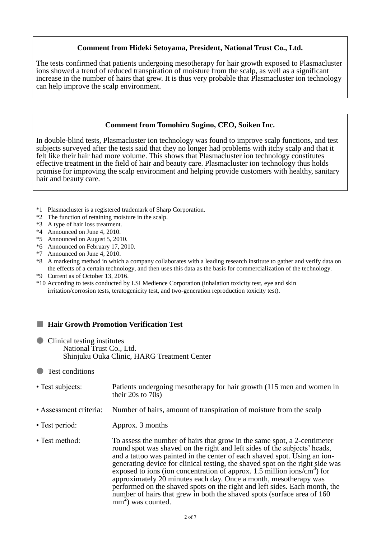### **Comment from Hideki Setoyama, President, National Trust Co., Ltd.**

The tests confirmed that patients undergoing mesotherapy for hair growth exposed to Plasmacluster ions showed a trend of reduced transpiration of moisture from the scalp, as well as a significant increase in the number of hairs that grew. It is thus very probable that Plasmacluster ion technology can help improve the scalp environment.

## **Comment from Tomohiro Sugino, CEO, Soiken Inc.**

In double-blind tests, Plasmacluster ion technology was found to improve scalp functions, and test subjects surveyed after the tests said that they no longer had problems with itchy scalp and that it felt like their hair had more volume. This shows that Plasmacluster ion technology constitutes effective treatment in the field of hair and beauty care. Plasmacluster ion technology thus holds promise for improving the scalp environment and helping provide customers with healthy, sanitary hair and beauty care.

- \*1 Plasmacluster is a registered trademark of Sharp Corporation.
- \*2 The function of retaining moisture in the scalp.
- \*3 A type of hair loss treatment.
- \*4 Announced on June 4, 2010.
- \*5 Announced on August 5, 2010.
- \*6 Announced on February 17, 2010.
- \*7 Announced on June 4, 2010.
- \*8 A marketing method in which a company collaborates with a leading research institute to gather and verify data on the effects of a certain technology, and then uses this data as the basis for commercialization of the technology.
- \*9 Current as of October 13, 2016.
- \*10 According to tests conducted by LSI Medience Corporation (inhalation toxicity test, eye and skin irritation/corrosion tests, teratogenicity test, and two-generation reproduction toxicity test).

#### ■ **Hair Growth Promotion Verification Test**

- Clinical testing institutes National Trust Co., Ltd. Shinjuku Ouka Clinic, HARG Treatment Center
- Test conditions
- Test subjects: Patients undergoing mesotherapy for hair growth (115 men and women in their 20s to  $70s$ )
- Assessment criteria: Number of hairs, amount of transpiration of moisture from the scalp
- Test period: Approx. 3 months
- Test method: To assess the number of hairs that grow in the same spot, a 2-centimeter round spot was shaved on the right and left sides of the subjects' heads, and a tattoo was painted in the center of each shaved spot. Using an iongenerating device for clinical testing, the shaved spot on the right side was exposed to ions (ion concentration of approx. 1.5 million ions/ $\rm \sin^3$ ) for approximately 20 minutes each day. Once a month, mesotherapy was performed on the shaved spots on the right and left sides. Each month, the number of hairs that grew in both the shaved spots (surface area of 160)  $mm<sup>2</sup>$ ) was counted.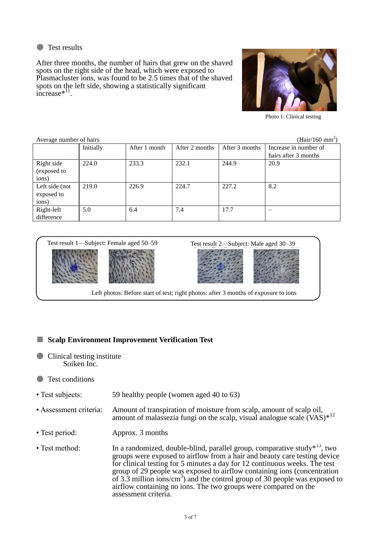

After three months, the number of hairs that grew on the shaved spots on the right side of the head, which were exposed to Plasmacluster ions, was found to be 2.5 times that of the shaved spots on the left side, showing a statistically significant increase $*$ <sup>11</sup>.



Photo 1: Clinical testing

| (Hair/160 mm <sup>2</sup> )<br>Average number of hairs |           |               |                |                |                       |  |  |
|--------------------------------------------------------|-----------|---------------|----------------|----------------|-----------------------|--|--|
|                                                        | Initially | After 1 month | After 2 months | After 3 months | Increase in number of |  |  |
|                                                        |           |               |                |                | hairs after 3 months  |  |  |
| Right side                                             | 224.0     | 233.3         | 232.1          | 244.9          | 20.9                  |  |  |
| (exposed to                                            |           |               |                |                |                       |  |  |
| ions)                                                  |           |               |                |                |                       |  |  |
| Left side (not                                         | 219.0     | 226.9         | 224.7          | 227.2          | 8.2                   |  |  |
| exposed to                                             |           |               |                |                |                       |  |  |
| ions)                                                  |           |               |                |                |                       |  |  |
| Right-left                                             | 5.0       | 6.4           | 7.4            | 17.7           |                       |  |  |
| difference                                             |           |               |                |                |                       |  |  |



# ■ **Scalp Environment Improvement Verification Test**

● Clinical testing institute Soiken Inc.

# ● Test conditions

- Test subjects: 59 healthy people (women aged 40 to 63)
- Assessment criteria: Amount of transpiration of moisture from scalp, amount of scalp oil, amount of malassezia fungi on the scalp, visual analogue scale  $(VAS)^{*12}$
- Test period: Approx. 3 months
- Test method: In a randomized, double-blind, parallel group, comparative study $*^{13}$ , two groups were exposed to airflow from a hair and beauty care testing device for clinical testing for 5 minutes a day for 12 continuous weeks. The test group of 29 people was exposed to airflow containing ions (concentration of 3.3 million ions/cm<sup>3</sup>) and the control group of 30 people was exposed to airflow containing no ions. The two groups were compared on the assessment criteria.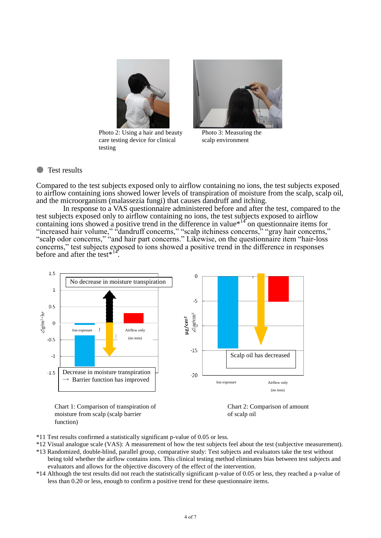

Photo 2: Using a hair and beauty care testing device for clinical testing



Photo 3: Measuring the scalp environment

#### ● Test results

Compared to the test subjects exposed only to airflow containing no ions, the test subjects exposed to airflow containing ions showed lower levels of transpiration of moisture from the scalp, scalp oil, and the microorganism (malassezia fungi) that causes dandruff and itching.

In response to a VAS questionnaire administered before and after the test, compared to the test subjects exposed only to airflow containing no ions, the test subjects exposed to airflow containing ions showed a positive trend in the difference in value<sup>\*14</sup> on questionnaire items for "increased hair volume," "dandruff concerns," "scalp itchiness concerns," "gray hair concerns," "scalp odor concerns," "and hair part concerns." Likewise, on the questionnaire item "hair-loss concerns," test subjects exposed to ions showed a positive trend in the difference in responses before and after the test $*^{14}$ .



Chart 1: Comparison of transpiration of moisture from scalp (scalp barrier function)



- \*11 Test results confirmed a statistically significant p-value of 0.05 or less.
- \*12 Visual analogue scale (VAS): A measurement of how the test subjects feel about the test (subjective measurement).
- \*13 Randomized, double-blind, parallel group, comparative study: Test subjects and evaluators take the test without being told whether the airflow contains ions. This clinical testing method eliminates bias between test subjects and evaluators and allows for the objective discovery of the effect of the intervention.
- \*14 Although the test results did not reach the statistically significant p-value of 0.05 or less, they reached a p-value of less than 0.20 or less, enough to confirm a positive trend for these questionnaire items.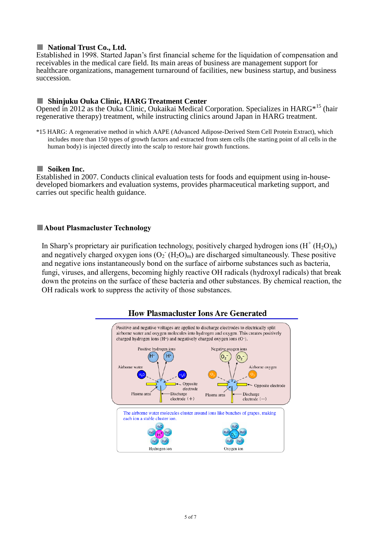#### ■ **National Trust Co., Ltd.**

Established in 1998. Started Japan's first financial scheme for the liquidation of compensation and receivables in the medical care field. Its main areas of business are management support for healthcare organizations, management turnaround of facilities, new business startup, and business succession.

#### ■ **Shinjuku Ouka Clinic, HARG Treatment Center**

Opened in 2012 as the Ouka Clinic, Oukaikai Medical Corporation. Specializes in HARG<sup>\*15</sup> (hair regenerative therapy) treatment, while instructing clinics around Japan in HARG treatment.

\*15 HARG: A regenerative method in which AAPE (Advanced Adipose-Derived Stem Cell Protein Extract), which includes more than 150 types of growth factors and extracted from stem cells (the starting point of all cells in the human body) is injected directly into the scalp to restore hair growth functions.

### ■ Soiken Inc.

Established in 2007. Conducts clinical evaluation tests for foods and equipment using in-housedeveloped biomarkers and evaluation systems, provides pharmaceutical marketing support, and carries out specific health guidance.

### ■**About Plasmacluster Technology**

In Sharp's proprietary air purification technology, positively charged hydrogen ions  $(H^+(H_2O)_n)$ and negatively charged oxygen ions  $(O_2 \ H_2O)_{m}$  are discharged simultaneously. These positive and negative ions instantaneously bond on the surface of airborne substances such as bacteria, fungi, viruses, and allergens, becoming highly reactive OH radicals (hydroxyl radicals) that break down the proteins on the surface of these bacteria and other substances. By chemical reaction, the OH radicals work to suppress the activity of those substances.



# **How Plasmacluster Ions Are Generated**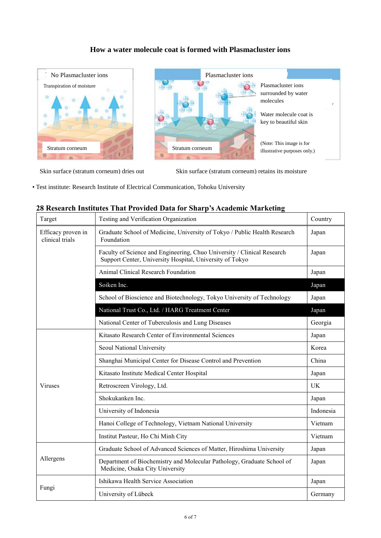# **How a water molecule coat is formed with Plasmacluster ions**



Skin surface (stratum corneum) dries out Skin surface (stratum corneum) retains its moisture

• Test institute: Research Institute of Electrical Communication, Tohoku University

#### **28 Research Institutes That Provided Data for Sharp's Academic Marketing**

| Target                                | Testing and Verification Organization                                                                                               | Country |
|---------------------------------------|-------------------------------------------------------------------------------------------------------------------------------------|---------|
| Efficacy proven in<br>clinical trials | Graduate School of Medicine, University of Tokyo / Public Health Research<br>Foundation                                             |         |
|                                       | Faculty of Science and Engineering, Chuo University / Clinical Research<br>Support Center, University Hospital, University of Tokyo |         |
|                                       | Animal Clinical Research Foundation                                                                                                 | Japan   |
|                                       | Soiken Inc.                                                                                                                         | Japan   |
|                                       | School of Bioscience and Biotechnology, Tokyo University of Technology                                                              | Japan   |
|                                       | National Trust Co., Ltd. / HARG Treatment Center                                                                                    | Japan   |
|                                       | National Center of Tuberculosis and Lung Diseases                                                                                   | Georgia |
|                                       | Kitasato Research Center of Environmental Sciences                                                                                  | Japan   |
|                                       | Seoul National University                                                                                                           | Korea   |
|                                       | Shanghai Municipal Center for Disease Control and Prevention                                                                        | China   |
|                                       | Kitasato Institute Medical Center Hospital                                                                                          | Japan   |
| <b>Viruses</b>                        | Retroscreen Virology, Ltd.                                                                                                          | UK      |
|                                       | Shokukanken Inc.                                                                                                                    |         |
|                                       | University of Indonesia                                                                                                             |         |
|                                       | Hanoi College of Technology, Vietnam National University                                                                            |         |
|                                       | Institut Pasteur, Ho Chi Minh City                                                                                                  | Vietnam |
|                                       | Graduate School of Advanced Sciences of Matter, Hiroshima University                                                                | Japan   |
| Allergens                             | Department of Biochemistry and Molecular Pathology, Graduate School of<br>Medicine, Osaka City University                           | Japan   |
|                                       | Ishikawa Health Service Association                                                                                                 |         |
| Fungi                                 | University of Lübeck                                                                                                                | Germany |